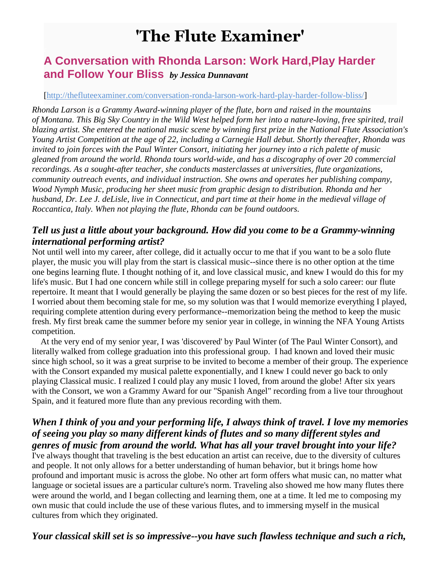# **'The Flute Examiner'**

### **A Conversation with Rhonda Larson: Work Hard,Play Harder and Follow Your Bliss** *by Jessica Dunnavant*

#### [\[http://thefluteexaminer.com/conversation-ronda-larson-work-hard-play-harder-follow-bliss/\]](http://thefluteexaminer.com/conversation-ronda-larson-work-hard-play-harder-follow-bliss/)

*Rhonda Larson is a Grammy Award-winning player of the flute, born and raised in the mountains of Montana. This Big Sky Country in the Wild West helped form her into a nature-loving, free spirited, trail blazing artist. She entered the national music scene by winning first prize in the National Flute Association's Young Artist Competition at the age of 22, including a Carnegie Hall debut. Shortly thereafter, Rhonda was invited to join forces with the Paul Winter Consort, initiating her journey into a rich palette of music gleaned from around the world. Rhonda tours world-wide, and has a discography of over 20 commercial recordings. As a sought-after teacher, she conducts masterclasses at universities, flute organizations, community outreach events, and individual instruction. She owns and operates her publishing company, Wood Nymph Music, producing her sheet music from graphic design to distribution. Rhonda and her husband, Dr. Lee J. deLisle, live in Connecticut, and part time at their home in the medieval village of Roccantica, Italy. When not playing the flute, Rhonda can be found outdoors.*

#### *Tell us just a little about your background. How did you come to be a Grammy-winning international performing artist?*

Not until well into my career, after college, did it actually occur to me that if you want to be a solo flute player, the music you will play from the start is classical music--since there is no other option at the time one begins learning flute. I thought nothing of it, and love classical music, and knew I would do this for my life's music. But I had one concern while still in college preparing myself for such a solo career: our flute repertoire. It meant that I would generally be playing the same dozen or so best pieces for the rest of my life. I worried about them becoming stale for me, so my solution was that I would memorize everything I played, requiring complete attention during every performance--memorization being the method to keep the music fresh. My first break came the summer before my senior year in college, in winning the NFA Young Artists competition.

 At the very end of my senior year, I was 'discovered' by Paul Winter (of The Paul Winter Consort), and literally walked from college graduation into this professional group. I had known and loved their music since high school, so it was a great surprise to be invited to become a member of their group. The experience with the Consort expanded my musical palette exponentially, and I knew I could never go back to only playing Classical music. I realized I could play any music I loved, from around the globe! After six years with the Consort, we won a Grammy Award for our "Spanish Angel" recording from a live tour throughout Spain, and it featured more flute than any previous recording with them.

#### *When I think of you and your performing life, I always think of travel. I love my memories of seeing you play so many different kinds of flutes and so many different styles and genres of music from around the world. What has all your travel brought into your life?*

I've always thought that traveling is the best education an artist can receive, due to the diversity of cultures and people. It not only allows for a better understanding of human behavior, but it brings home how profound and important music is across the globe. No other art form offers what music can, no matter what language or societal issues are a particular culture's norm. Traveling also showed me how many flutes there were around the world, and I began collecting and learning them, one at a time. It led me to composing my own music that could include the use of these various flutes, and to immersing myself in the musical cultures from which they originated.

#### *Your classical skill set is so impressive--you have such flawless technique and such a rich,*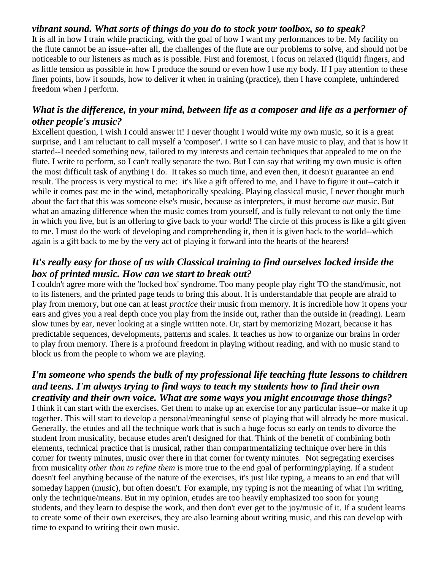#### *vibrant sound. What sorts of things do you do to stock your toolbox, so to speak?*

It is all in how I train while practicing, with the goal of how I want my performances to be. My facility on the flute cannot be an issue--after all, the challenges of the flute are our problems to solve, and should not be noticeable to our listeners as much as is possible. First and foremost, I focus on relaxed (liquid) fingers, and as little tension as possible in how I produce the sound or even how I use my body. If I pay attention to these finer points, how it sounds, how to deliver it when in training (practice), then I have complete, unhindered freedom when I perform.

#### *What is the difference, in your mind, between life as a composer and life as a performer of other people's music?*

Excellent question, I wish I could answer it! I never thought I would write my own music, so it is a great surprise, and I am reluctant to call myself a 'composer'. I write so I can have music to play, and that is how it started--I needed something new, tailored to my interests and certain techniques that appealed to me on the flute. I write to perform, so I can't really separate the two. But I can say that writing my own music is often the most difficult task of anything I do. It takes so much time, and even then, it doesn't guarantee an end result. The process is very mystical to me: it's like a gift offered to me, and I have to figure it out--catch it while it comes past me in the wind, metaphorically speaking. Playing classical music, I never thought much about the fact that this was someone else's music, because as interpreters, it must become *our* music. But what an amazing difference when the music comes from yourself, and is fully relevant to not only the time in which you live, but is an offering to give back to your world! The circle of this process is like a gift given to me. I must do the work of developing and comprehending it, then it is given back to the world--which again is a gift back to me by the very act of playing it forward into the hearts of the hearers!

#### *It's really easy for those of us with Classical training to find ourselves locked inside the box of printed music. How can we start to break out?*

I couldn't agree more with the 'locked box' syndrome. Too many people play right TO the stand/music, not to its listeners, and the printed page tends to bring this about. It is understandable that people are afraid to play from memory, but one can at least *practice* their music from memory. It is incredible how it opens your ears and gives you a real depth once you play from the inside out, rather than the outside in (reading). Learn slow tunes by ear, never looking at a single written note. Or, start by memorizing Mozart, because it has predictable sequences, developments, patterns and scales. It teaches us how to organize our brains in order to play from memory. There is a profound freedom in playing without reading, and with no music stand to block us from the people to whom we are playing.

#### *I'm someone who spends the bulk of my professional life teaching flute lessons to children and teens. I'm always trying to find ways to teach my students how to find their own creativity and their own voice. What are some ways you might encourage those things?*

I think it can start with the exercises. Get them to make up an exercise for any particular issue--or make it up together. This will start to develop a personal/meaningful sense of playing that will already be more musical. Generally, the etudes and all the technique work that is such a huge focus so early on tends to divorce the student from musicality, because etudes aren't designed for that. Think of the benefit of combining both elements, technical practice that is musical, rather than compartmentalizing technique over here in this corner for twenty minutes, music over there in that corner for twenty minutes. Not segregating exercises from musicality *other than to refine them* is more true to the end goal of performing/playing. If a student doesn't feel anything because of the nature of the exercises, it's just like typing, a means to an end that will someday happen (music), but often doesn't. For example, my typing is not the meaning of what I'm writing, only the technique/means. But in my opinion, etudes are too heavily emphasized too soon for young students, and they learn to despise the work, and then don't ever get to the joy/music of it. If a student learns to create some of their own exercises, they are also learning about writing music, and this can develop with time to expand to writing their own music.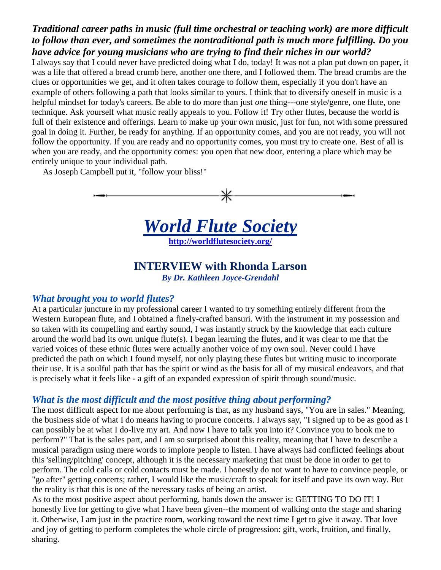#### *Traditional career paths in music (full time orchestral or teaching work) are more difficult to follow than ever, and sometimes the nontraditional path is much more fulfilling. Do you have advice for young musicians who are trying to find their niches in our world?*

I always say that I could never have predicted doing what I do, today! It was not a plan put down on paper, it was a life that offered a bread crumb here, another one there, and I followed them. The bread crumbs are the clues or opportunities we get, and it often takes courage to follow them, especially if you don't have an example of others following a path that looks similar to yours. I think that to diversify oneself in music is a helpful mindset for today's careers. Be able to do more than just *one* thing---one style/genre, one flute, one technique. Ask yourself what music really appeals to you. Follow it! Try other flutes, because the world is full of their existence and offerings. Learn to make up your own music, just for fun, not with some pressured goal in doing it. Further, be ready for anything. If an opportunity comes, and you are not ready, you will not follow the opportunity. If you are ready and no opportunity comes, you must try to create one. Best of all is when you are ready, and the opportunity comes: you open that new door, entering a place which may be entirely unique to your individual path.

As Joseph Campbell put it, "follow your bliss!"

*World Flute Society* **<http://worldflutesociety.org/>**

### **INTERVIEW with Rhonda Larson**

*By Dr. Kathleen Joyce-Grendahl*

#### *What brought you to world flutes?*

At a particular juncture in my professional career I wanted to try something entirely different from the Western European flute, and I obtained a finely-crafted bansuri. With the instrument in my possession and so taken with its compelling and earthy sound, I was instantly struck by the knowledge that each culture around the world had its own unique flute(s). I began learning the flutes, and it was clear to me that the varied voices of these ethnic flutes were actually another voice of my own soul. Never could I have predicted the path on which I found myself, not only playing these flutes but writing music to incorporate their use. It is a soulful path that has the spirit or wind as the basis for all of my musical endeavors, and that is precisely what it feels like - a gift of an expanded expression of spirit through sound/music.

#### *What is the most difficult and the most positive thing about performing?*

The most difficult aspect for me about performing is that, as my husband says, "You are in sales." Meaning, the business side of what I do means having to procure concerts. I always say, "I signed up to be as good as I can possibly be at what I do-live my art. And now I have to talk you into it? Convince you to book me to perform?" That is the sales part, and I am so surprised about this reality, meaning that I have to describe a musical paradigm using mere words to implore people to listen. I have always had conflicted feelings about this 'selling/pitching' concept, although it is the necessary marketing that must be done in order to get to perform. The cold calls or cold contacts must be made. I honestly do not want to have to convince people, or "go after" getting concerts; rather, I would like the music/craft to speak for itself and pave its own way. But the reality is that this is one of the necessary tasks of being an artist.

As to the most positive aspect about performing, hands down the answer is: GETTING TO DO IT! I honestly live for getting to give what I have been given--the moment of walking onto the stage and sharing it. Otherwise, I am just in the practice room, working toward the next time I get to give it away. That love and joy of getting to perform completes the whole circle of progression: gift, work, fruition, and finally, sharing.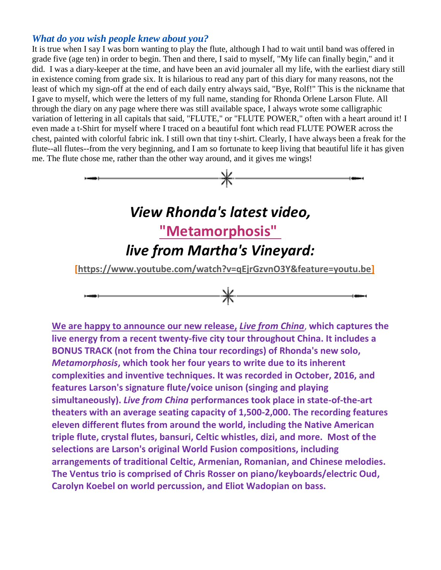#### *What do you wish people knew about you?*

It is true when I say I was born wanting to play the flute, although I had to wait until band was offered in grade five (age ten) in order to begin. Then and there, I said to myself, "My life can finally begin," and it did. I was a diary-keeper at the time, and have been an avid journaler all my life, with the earliest diary still in existence coming from grade six. It is hilarious to read any part of this diary for many reasons, not the least of which my sign-off at the end of each daily entry always said, "Bye, Rolf!" This is the nickname that I gave to myself, which were the letters of my full name, standing for Rhonda Orlene Larson Flute. All through the diary on any page where there was still available space, I always wrote some calligraphic variation of lettering in all capitals that said, "FLUTE," or "FLUTE POWER," often with a heart around it! I even made a t-Shirt for myself where I traced on a beautiful font which read FLUTE POWER across the chest, painted with colorful fabric ink. I still own that tiny t-shirt. Clearly, I have always been a freak for the flute--all flutes--from the very beginning, and I am so fortunate to keep living that beautiful life it has given me. The flute chose me, rather than the other way around, and it gives me wings!



## *View Rhonda's latest video,*

**["Metamorphosis"](https://www.youtube.com/watch?v=qEjrGzvnO3Y&feature=youtu.be)**

## *live from Martha's Vineyard:*

 **[\[https://www.youtube.com/watch?v=qEjrGzvnO3Y&feature=youtu.be\]](https://www.youtube.com/watch?v=qEjrGzvnO3Y&feature=youtu.be)**

⋇

**We are happy to announce our new release,** *Live from China*, **which captures the live energy from a recent twenty-five city tour throughout China. It includes a BONUS TRACK (not from the China tour recordings) of Rhonda's new solo,** *Metamorphosis***, which took her four years to write due to its inherent complexities and inventive techniques. It was recorded in October, 2016, and features Larson's signature flute/voice unison (singing and playing simultaneously).** *Live from China* **performances took place in state-of-the-art theaters with an average seating capacity of 1,500-2,000. The recording features eleven different flutes from around the world, including the Native American triple flute, crystal flutes, bansuri, Celtic whistles, dizi, and more. Most of the selections are Larson's original World Fusion compositions, including arrangements of traditional Celtic, Armenian, Romanian, and Chinese melodies. The Ventus trio is comprised of Chris Rosser on piano/keyboards/electric Oud, Carolyn Koebel on world percussion, and Eliot Wadopian on bass.**